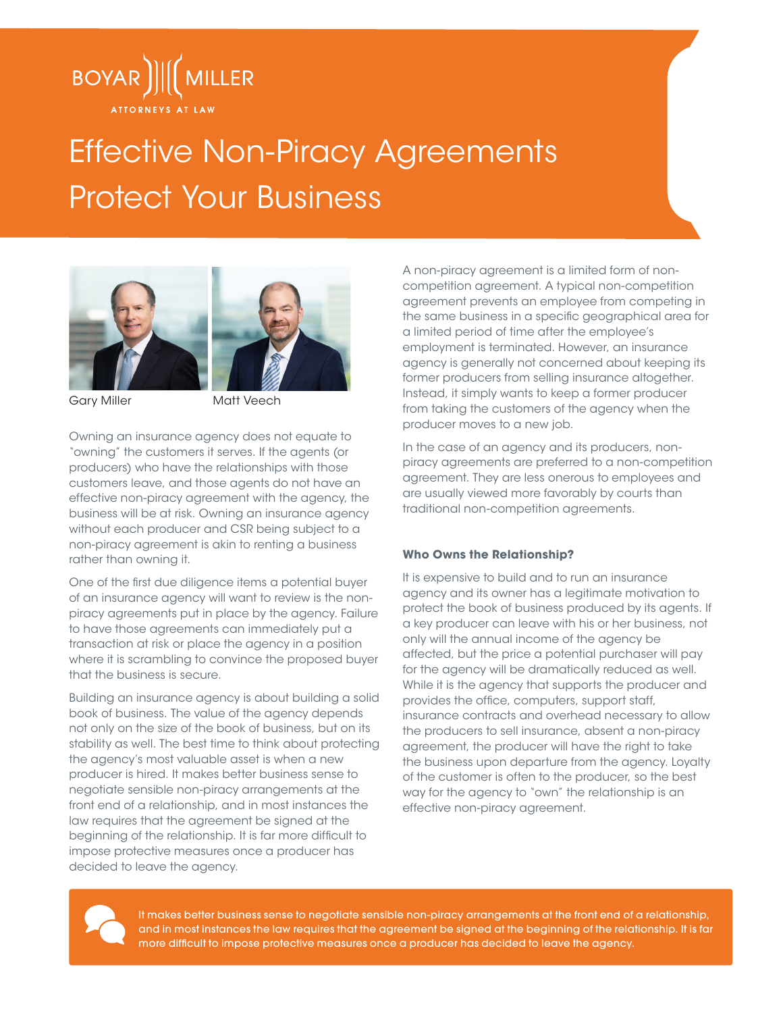

# Effective Non-Piracy Agreements Protect Your Business





Gary Miller Matt Veech

Owning an insurance agency does not equate to "owning" the customers it serves. If the agents (or producers) who have the relationships with those customers leave, and those agents do not have an effective non-piracy agreement with the agency, the business will be at risk. Owning an insurance agency without each producer and CSR being subject to a non-piracy agreement is akin to renting a business rather than owning it.

One of the first due diligence items a potential buyer of an insurance agency will want to review is the nonpiracy agreements put in place by the agency. Failure to have those agreements can immediately put a transaction at risk or place the agency in a position where it is scrambling to convince the proposed buyer that the business is secure.

Building an insurance agency is about building a solid book of business. The value of the agency depends not only on the size of the book of business, but on its stability as well. The best time to think about protecting the agency's most valuable asset is when a new producer is hired. It makes better business sense to negotiate sensible non-piracy arrangements at the front end of a relationship, and in most instances the law requires that the agreement be signed at the beginning of the relationship. It is far more difficult to impose protective measures once a producer has decided to leave the agency.

A non-piracy agreement is a limited form of noncompetition agreement. A typical non-competition agreement prevents an employee from competing in the same business in a specific geographical area for a limited period of time after the employee's employment is terminated. However, an insurance agency is generally not concerned about keeping its former producers from selling insurance altogether. Instead, it simply wants to keep a former producer from taking the customers of the agency when the producer moves to a new job.

In the case of an agency and its producers, nonpiracy agreements are preferred to a non-competition agreement. They are less onerous to employees and are usually viewed more favorably by courts than traditional non-competition agreements.

## **Who Owns the Relationship?**

It is expensive to build and to run an insurance agency and its owner has a legitimate motivation to protect the book of business produced by its agents. If a key producer can leave with his or her business, not only will the annual income of the agency be affected, but the price a potential purchaser will pay for the agency will be dramatically reduced as well. While it is the agency that supports the producer and provides the office, computers, support staff, insurance contracts and overhead necessary to allow the producers to sell insurance, absent a non-piracy agreement, the producer will have the right to take the business upon departure from the agency. Loyalty of the customer is often to the producer, so the best way for the agency to "own" the relationship is an effective non-piracy agreement.



It makes better business sense to negotiate sensible non-piracy arrangements at the front end of a relationship, and in most instances the law requires that the agreement be signed at the beginning of the relationship. It is far more difficult to impose protective measures once a producer has decided to leave the agency.